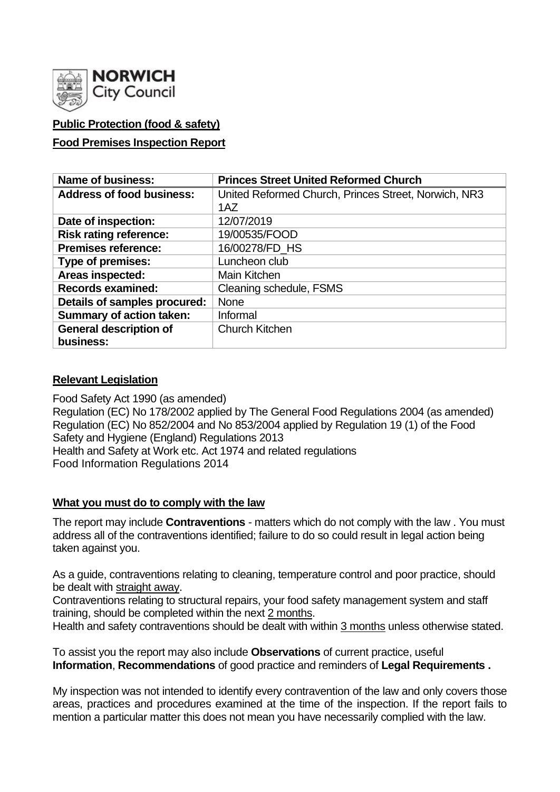

## **Public Protection (food & safety)**

#### **Food Premises Inspection Report**

| <b>Name of business:</b>         | <b>Princes Street United Reformed Church</b>         |  |  |  |  |  |
|----------------------------------|------------------------------------------------------|--|--|--|--|--|
| <b>Address of food business:</b> | United Reformed Church, Princes Street, Norwich, NR3 |  |  |  |  |  |
|                                  | 1AZ                                                  |  |  |  |  |  |
| Date of inspection:              | 12/07/2019                                           |  |  |  |  |  |
| <b>Risk rating reference:</b>    | 19/00535/FOOD                                        |  |  |  |  |  |
| <b>Premises reference:</b>       | 16/00278/FD HS                                       |  |  |  |  |  |
| Type of premises:                | Luncheon club                                        |  |  |  |  |  |
| Areas inspected:                 | Main Kitchen                                         |  |  |  |  |  |
| <b>Records examined:</b>         | Cleaning schedule, FSMS                              |  |  |  |  |  |
| Details of samples procured:     | None                                                 |  |  |  |  |  |
| <b>Summary of action taken:</b>  | Informal                                             |  |  |  |  |  |
| <b>General description of</b>    | <b>Church Kitchen</b>                                |  |  |  |  |  |
| business:                        |                                                      |  |  |  |  |  |

#### **Relevant Legislation**

Food Safety Act 1990 (as amended) Regulation (EC) No 178/2002 applied by The General Food Regulations 2004 (as amended) Regulation (EC) No 852/2004 and No 853/2004 applied by Regulation 19 (1) of the Food Safety and Hygiene (England) Regulations 2013 Health and Safety at Work etc. Act 1974 and related regulations Food Information Regulations 2014

#### **What you must do to comply with the law**

The report may include **Contraventions** - matters which do not comply with the law . You must address all of the contraventions identified; failure to do so could result in legal action being taken against you.

As a guide, contraventions relating to cleaning, temperature control and poor practice, should be dealt with straight away.

Contraventions relating to structural repairs, your food safety management system and staff training, should be completed within the next 2 months.

Health and safety contraventions should be dealt with within 3 months unless otherwise stated.

To assist you the report may also include **Observations** of current practice, useful **Information**, **Recommendations** of good practice and reminders of **Legal Requirements .**

My inspection was not intended to identify every contravention of the law and only covers those areas, practices and procedures examined at the time of the inspection. If the report fails to mention a particular matter this does not mean you have necessarily complied with the law.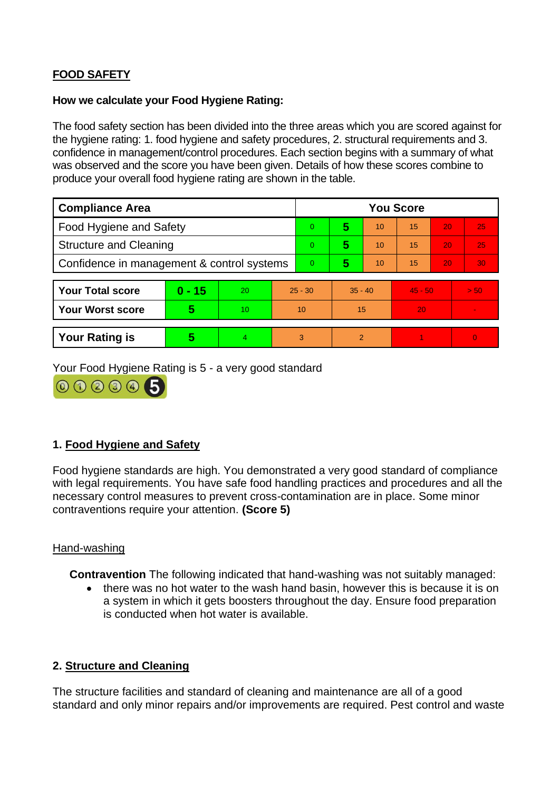# **FOOD SAFETY**

#### **How we calculate your Food Hygiene Rating:**

The food safety section has been divided into the three areas which you are scored against for the hygiene rating: 1. food hygiene and safety procedures, 2. structural requirements and 3. confidence in management/control procedures. Each section begins with a summary of what was observed and the score you have been given. Details of how these scores combine to produce your overall food hygiene rating are shown in the table.

| <b>Compliance Area</b>                     |          |    |           | <b>You Score</b> |               |    |           |    |                 |
|--------------------------------------------|----------|----|-----------|------------------|---------------|----|-----------|----|-----------------|
| Food Hygiene and Safety                    |          |    |           | 0                | 5             | 10 | 15        | 20 | 25              |
| <b>Structure and Cleaning</b>              |          |    |           | 0                | 5             | 10 | 15        | 20 | 25              |
| Confidence in management & control systems |          |    |           | 0                | 5             | 10 | 15        | 20 | 30 <sub>1</sub> |
|                                            |          |    |           |                  |               |    |           |    |                 |
| <b>Your Total score</b>                    | $0 - 15$ | 20 | $25 - 30$ |                  | $35 - 40$     |    | $45 - 50$ |    | > 50            |
| <b>Your Worst score</b>                    | 5        | 10 | 10        |                  | 15            |    | 20        |    |                 |
|                                            |          |    |           |                  |               |    |           |    |                 |
| <b>Your Rating is</b>                      | 5        |    |           | 3                | $\mathcal{P}$ |    |           |    | $\Omega$        |

Your Food Hygiene Rating is 5 - a very good standard



## **1. Food Hygiene and Safety**

Food hygiene standards are high. You demonstrated a very good standard of compliance with legal requirements. You have safe food handling practices and procedures and all the necessary control measures to prevent cross-contamination are in place. Some minor contraventions require your attention. **(Score 5)**

### Hand-washing

**Contravention** The following indicated that hand-washing was not suitably managed:

• there was no hot water to the wash hand basin, however this is because it is on a system in which it gets boosters throughout the day. Ensure food preparation is conducted when hot water is available.

### **2. Structure and Cleaning**

The structure facilities and standard of cleaning and maintenance are all of a good standard and only minor repairs and/or improvements are required. Pest control and waste